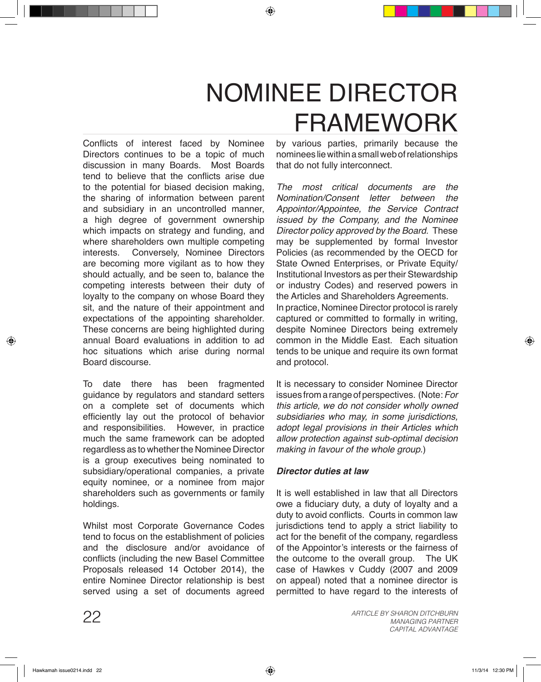## NOMINEE DIRECTOR FRAMEWORK

Conflicts of interest faced by Nominee Directors continues to be a topic of much discussion in many Boards. Most Boards tend to believe that the conflicts arise due to the potential for biased decision making, the sharing of information between parent and subsidiary in an uncontrolled manner, a high degree of government ownership which impacts on strategy and funding, and where shareholders own multiple competing interests. Conversely, Nominee Directors are becoming more vigilant as to how they should actually, and be seen to, balance the competing interests between their duty of loyalty to the company on whose Board they sit, and the nature of their appointment and expectations of the appointing shareholder. These concerns are being highlighted during annual Board evaluations in addition to ad hoc situations which arise during normal Board discourse.

To date there has been fragmented guidance by regulators and standard setters on a complete set of documents which efficiently lay out the protocol of behavior and responsibilities. However, in practice much the same framework can be adopted regardless as to whether the Nominee Director is a group executives being nominated to subsidiary/operational companies, a private equity nominee, or a nominee from major shareholders such as governments or family holdings.

Whilst most Corporate Governance Codes tend to focus on the establishment of policies and the disclosure and/or avoidance of conflicts (including the new Basel Committee Proposals released 14 October 2014), the entire Nominee Director relationship is best served using a set of documents agreed

by various parties, primarily because the nominees lie within a small web of relationships that do not fully interconnect.

*The most critical documents are the Nomination/Consent letter between Appointor/Appointee, the Service Contract issued by the Company, and the Nominee Director policy approved by the Board.* These may be supplemented by formal Investor Policies (as recommended by the OECD for State Owned Enterprises, or Private Equity/ Institutional Investors as per their Stewardship or industry Codes) and reserved powers in the Articles and Shareholders Agreements. In practice, Nominee Director protocol is rarely captured or committed to formally in writing, despite Nominee Directors being extremely common in the Middle East. Each situation tends to be unique and require its own format and protocol.

It is necessary to consider Nominee Director issues from a range of perspectives. (Note: *For this article, we do not consider wholly owned subsidiaries who may, in some jurisdictions, adopt legal provisions in their Articles which allow protection against sub-optimal decision making in favour of the whole group.*)

## *Director duties at law*

It is well established in law that all Directors owe a fiduciary duty, a duty of loyalty and a duty to avoid conflicts. Courts in common law jurisdictions tend to apply a strict liability to act for the benefit of the company, regardless of the Appointor's interests or the fairness of the outcome to the overall group. The UK case of Hawkes v Cuddy (2007 and 2009 on appeal) noted that a nominee director is permitted to have regard to the interests of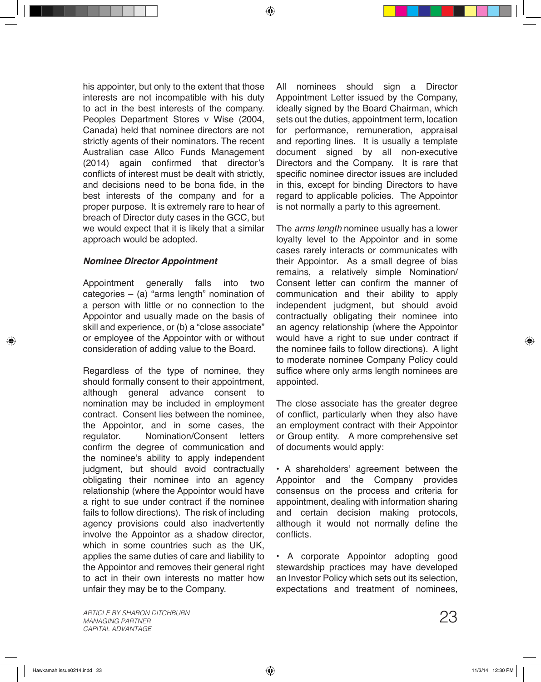his appointer, but only to the extent that those interests are not incompatible with his duty to act in the best interests of the company. Peoples Department Stores v Wise (2004, Canada) held that nominee directors are not strictly agents of their nominators. The recent Australian case Allco Funds Management (2014) again confirmed that director's conflicts of interest must be dealt with strictly, and decisions need to be bona fide, in the best interests of the company and for a proper purpose. It is extremely rare to hear of breach of Director duty cases in the GCC, but we would expect that it is likely that a similar approach would be adopted.

## *Nominee Director Appointment*

Appointment generally falls into two categories  $-$  (a) "arms length" nomination of a person with little or no connection to the Appointor and usually made on the basis of skill and experience, or (b) a "close associate" or employee of the Appointor with or without consideration of adding value to the Board.

Regardless of the type of nominee, they should formally consent to their appointment, although general advance consent to nomination may be included in employment contract. Consent lies between the nominee, the Appointor, and in some cases, the regulator. Nomination/Consent letters confirm the degree of communication and the nominee's ability to apply independent judgment, but should avoid contractually obligating their nominee into an agency relationship (where the Appointor would have a right to sue under contract if the nominee fails to follow directions). The risk of including agency provisions could also inadvertently involve the Appointor as a shadow director, which in some countries such as the UK. applies the same duties of care and liability to the Appointor and removes their general right to act in their own interests no matter how unfair they may be to the Company.

All nominees should sign a Director Appointment Letter issued by the Company, ideally signed by the Board Chairman, which sets out the duties, appointment term, location for performance, remuneration, appraisal and reporting lines. It is usually a template document signed by all non-executive Directors and the Company. It is rare that specific nominee director issues are included in this, except for binding Directors to have regard to applicable policies. The Appointor is not normally a party to this agreement.

The *arms length* nominee usually has a lower loyalty level to the Appointor and in some cases rarely interacts or communicates with their Appointor. As a small degree of bias remains, a relatively simple Nomination/ Consent letter can confirm the manner of communication and their ability to apply independent judgment, but should avoid contractually obligating their nominee into an agency relationship (where the Appointor would have a right to sue under contract if the nominee fails to follow directions). A light to moderate nominee Company Policy could suffice where only arms length nominees are appointed.

The close associate has the greater degree of conflict, particularly when they also have an employment contract with their Appointor or Group entity. A more comprehensive set of documents would apply:

• A shareholders' agreement between the Appointor and the Company provides consensus on the process and criteria for appointment, dealing with information sharing and certain decision making protocols, although it would not normally define the conflicts.

• A corporate Appointor adopting good stewardship practices may have developed an Investor Policy which sets out its selection, expectations and treatment of nominees,